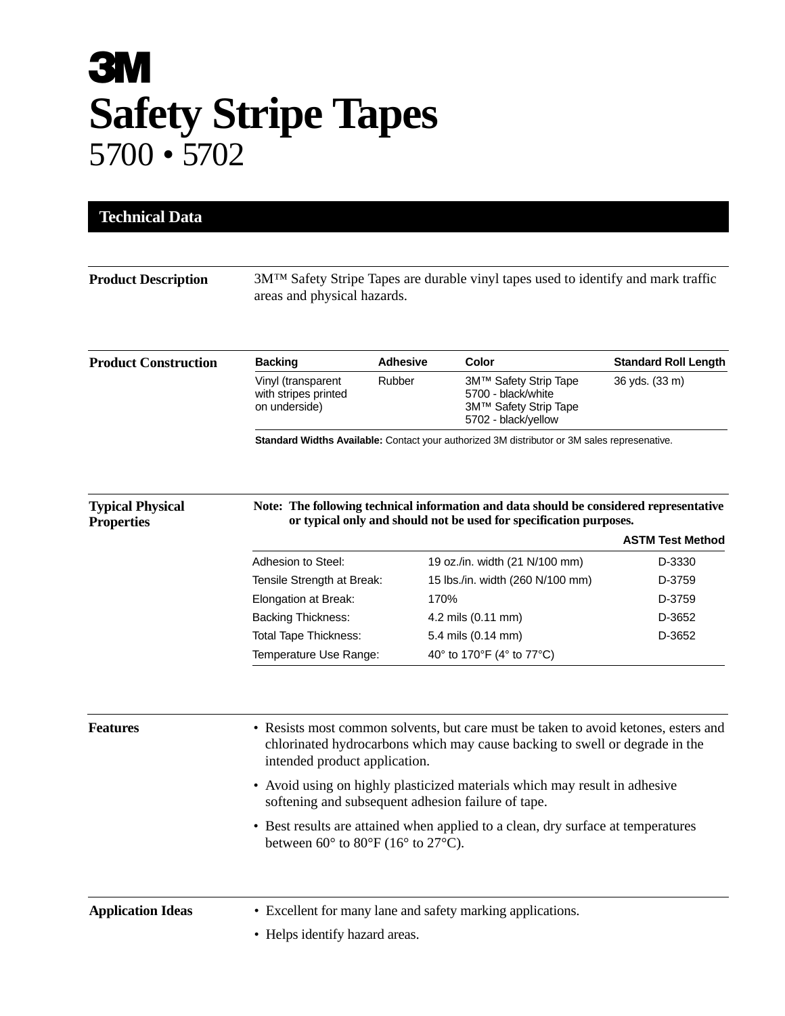## **3M Safety Stripe Tapes** 5700 • 5702

| <b>Product Description</b>  | 3M <sup>TM</sup> Safety Stripe Tapes are durable vinyl tapes used to identify and mark traffic<br>areas and physical hazards.                                                                       |                 |                                                                                             |                             |
|-----------------------------|-----------------------------------------------------------------------------------------------------------------------------------------------------------------------------------------------------|-----------------|---------------------------------------------------------------------------------------------|-----------------------------|
| <b>Product Construction</b> | <b>Backing</b>                                                                                                                                                                                      | <b>Adhesive</b> | Color                                                                                       | <b>Standard Roll Length</b> |
|                             | Vinyl (transparent<br>with stripes printed<br>on underside)                                                                                                                                         | Rubber          | 3M™ Safety Strip Tape<br>5700 - black/white<br>3M™ Safety Strip Tape<br>5702 - black/yellow | 36 yds. (33 m)              |
| <b>Typical Physical</b>     |                                                                                                                                                                                                     |                 | Note: The following technical information and data should be considered representative      |                             |
| <b>Properties</b>           | or typical only and should not be used for specification purposes.<br><b>ASTM Test Method</b>                                                                                                       |                 |                                                                                             |                             |
|                             | Adhesion to Steel:                                                                                                                                                                                  |                 | 19 oz./in. width (21 N/100 mm)                                                              | D-3330                      |
|                             | Tensile Strength at Break:                                                                                                                                                                          |                 | 15 lbs./in. width (260 N/100 mm)                                                            | D-3759                      |
|                             | Elongation at Break:                                                                                                                                                                                | 170%            |                                                                                             | D-3759                      |
|                             | <b>Backing Thickness:</b>                                                                                                                                                                           |                 | 4.2 mils (0.11 mm)                                                                          | D-3652                      |
|                             | <b>Total Tape Thickness:</b>                                                                                                                                                                        |                 | 5.4 mils (0.14 mm)                                                                          | D-3652                      |
|                             | Temperature Use Range:                                                                                                                                                                              |                 | 40° to 170°F (4° to 77°C)                                                                   |                             |
| <b>Features</b>             | • Resists most common solvents, but care must be taken to avoid ketones, esters and<br>chlorinated hydrocarbons which may cause backing to swell or degrade in the<br>intended product application. |                 |                                                                                             |                             |
|                             | • Avoid using on highly plasticized materials which may result in adhesive<br>softening and subsequent adhesion failure of tape.                                                                    |                 |                                                                                             |                             |
|                             | • Best results are attained when applied to a clean, dry surface at temperatures<br>between $60^{\circ}$ to $80^{\circ}$ F (16° to 27°C).                                                           |                 |                                                                                             |                             |
| <b>Application Ideas</b>    | • Excellent for many lane and safety marking applications.<br>• Helps identify hazard areas.                                                                                                        |                 |                                                                                             |                             |